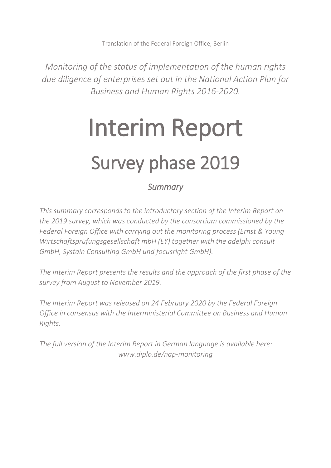Translation of the Federal Foreign Office, Berlin

*Monitoring of the status of implementation of the human rights due diligence of enterprises set out in the National Action Plan for Business and Human Rights 2016-2020.*

# Interim Report Survey phase 2019

# *Summary*

*This summary corresponds to the introductory section of the Interim Report on the 2019 survey, which was conducted by the consortium commissioned by the Federal Foreign Office with carrying out the monitoring process (Ernst & Young Wirtschaftsprüfungsgesellschaft mbH (EY) together with the adelphi consult GmbH, Systain Consulting GmbH und focusright GmbH).* 

*The Interim Report presents the results and the approach of the first phase of the survey from August to November 2019.*

*The Interim Report was released on 24 February 2020 by the Federal Foreign Office in consensus with the Interministerial Committee on Business and Human Rights.* 

*The full version of the Interim Report in German language is available here: www.diplo.de/nap-monitoring*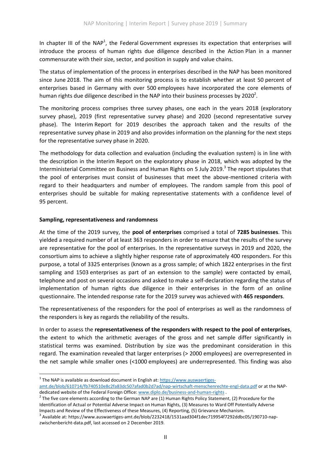In chapter III of the NAP<sup>1</sup>, the Federal Government expresses its expectation that enterprises will introduce the process of human rights due diligence described in the Action Plan in a manner commensurate with their size, sector, and position in supply and value chains.

The status of implementation of the process in enterprises described in the NAP has been monitored since June 2018. The aim of this monitoring process is to establish whether at least 50 percent of enterprises based in Germany with over 500 employees have incorporated the core elements of human rights due diligence described in the NAP into their business processes by 2020<sup>2</sup>.

The monitoring process comprises three survey phases, one each in the years 2018 (exploratory survey phase), 2019 (first representative survey phase) and 2020 (second representative survey phase). The Interim Report for 2019 describes the approach taken and the results of the representative survey phase in 2019 and also provides information on the planning for the next steps for the representative survey phase in 2020.

The methodology for data collection and evaluation (including the evaluation system) is in line with the description in the Interim Report on the exploratory phase in 2018, which was adopted by the Interministerial Committee on Business and Human Rights on 5 July 2019.<sup>3</sup> The report stipulates that the pool of enterprises must consist of businesses that meet the above-mentioned criteria with regard to their headquarters and number of employees. The random sample from this pool of enterprises should be suitable for making representative statements with a confidence level of 95 percent.

#### **Sampling, representativeness and randomness**

l

At the time of the 2019 survey, the **pool of enterprises** comprised a total of **7285 businesses**. This yielded a required number of at least 363 responders in order to ensure that the results of the survey are representative for the pool of enterprises. In the representative surveys in 2019 and 2020, the consortium aims to achieve a slightly higher response rate of approximately 400 responders. For this purpose, a total of 3325 enterprises (known as a gross sample; of which 1822 enterprises in the first sampling and 1503 enterprises as part of an extension to the sample) were contacted by email, telephone and post on several occasions and asked to make a self-declaration regarding the status of implementation of human rights due diligence in their enterprises in the form of an online questionnaire. The intended response rate for the 2019 survey was achieved with **465 responders**.

The representativeness of the responders for the pool of enterprises as well as the randomness of the responders is key as regards the reliability of the results.

In order to assess the **representativeness of the responders with respect to the pool of enterprises**, the extent to which the arithmetic averages of the gross and net sample differ significantly in statistical terms was examined. Distribution by size was the predominant consideration in this regard. The examination revealed that larger enterprises (> 2000 employees) are overrepresented in the net sample while smaller ones (<1000 employees) are underrepresented. This finding was also

<sup>&</sup>lt;sup>1</sup> The NAP is available as download document in English at[: https://www.auswaertiges-](https://www.auswaertiges-amt.de/blob/610714/fb740510e8c2fa83dc507afad0b2d7ad/nap-wirtschaft-menschenrechte-engl-data.pdf)

[amt.de/blob/610714/fb740510e8c2fa83dc507afad0b2d7ad/nap-wirtschaft-menschenrechte-engl-data.pdf o](https://www.auswaertiges-amt.de/blob/610714/fb740510e8c2fa83dc507afad0b2d7ad/nap-wirtschaft-menschenrechte-engl-data.pdf)r at the NAPdedicated website of the Federal Foreign Office: [www.diplo.de/business-and-human-rights .](http://www.diplo.de/business-and-human-rights)

<sup>&</sup>lt;sup>2</sup> The five core elements according to the German NAP are (1) Human Rights Policy Statement, (2) Procedure for the Identification of Actual or Potential Adverse Impact on Human Rights, (3) Measures to Ward Off Potentially Adverse Impacts and Review of the Effectiveness of these Measures, (4) Reporting, (5) Grievance Mechanism.

 $^3$  Available at: https://www.auswaertiges-amt.de/blob/2232418/1531aad304f1dec719954f7292ddbc05/190710-napzwischenbericht-data.pdf, last accessed on 2 December 2019.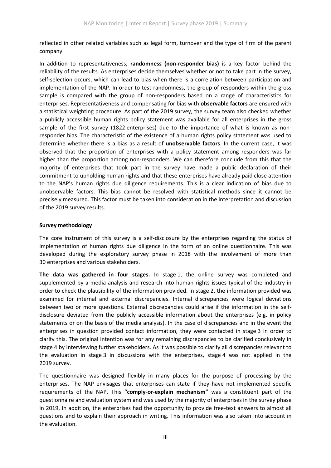reflected in other related variables such as legal form, turnover and the type of firm of the parent company.

In addition to representativeness, **randomness (non-responder bias)** is a key factor behind the reliability of the results. As enterprises decide themselves whether or not to take part in the survey, self-selection occurs, which can lead to bias when there is a correlation between participation and implementation of the NAP. In order to test randomness, the group of responders within the gross sample is compared with the group of non-responders based on a range of characteristics for enterprises. Representativeness and compensating for bias with **observable factors** are ensured with a statistical weighting procedure. As part of the 2019 survey, the survey team also checked whether a publicly accessible human rights policy statement was available for all enterprises in the gross sample of the first survey (1822 enterprises) due to the importance of what is known as nonresponder bias. The characteristic of the existence of a human rights policy statement was used to determine whether there is a bias as a result of **unobservable factors**. In the current case, it was observed that the proportion of enterprises with a policy statement among responders was far higher than the proportion among non-responders. We can therefore conclude from this that the majority of enterprises that took part in the survey have made a public declaration of their commitment to upholding human rights and that these enterprises have already paid close attention to the NAP's human rights due diligence requirements. This is a clear indication of bias due to unobservable factors. This bias cannot be resolved with statistical methods since it cannot be precisely measured. This factor must be taken into consideration in the interpretation and discussion of the 2019 survey results.

## **Survey methodology**

The core instrument of this survey is a self-disclosure by the enterprises regarding the status of implementation of human rights due diligence in the form of an online questionnaire. This was developed during the exploratory survey phase in 2018 with the involvement of more than 30 enterprises and various stakeholders.

**The data was gathered in four stages.** In stage 1, the online survey was completed and supplemented by a media analysis and research into human rights issues typical of the industry in order to check the plausibility of the information provided. In stage 2, the information provided was examined for internal and external discrepancies. Internal discrepancies were logical deviations between two or more questions. External discrepancies could arise if the information in the selfdisclosure deviated from the publicly accessible information about the enterprises (e.g. in policy statements or on the basis of the media analysis). In the case of discrepancies and in the event the enterprises in question provided contact information, they were contacted in stage 3 in order to clarify this. The original intention was for any remaining discrepancies to be clarified conclusively in stage 4 by interviewing further stakeholders. As it was possible to clarify all discrepancies relevant to the evaluation in stage 3 in discussions with the enterprises, stage 4 was not applied in the 2019 survey.

The questionnaire was designed flexibly in many places for the purpose of processing by the enterprises. The NAP envisages that enterprises can state if they have not implemented specific requirements of the NAP. This **"comply-or-explain mechanism"** was a constituent part of the questionnaire and evaluation system and was used by the majority of enterprises in the survey phase in 2019. In addition, the enterprises had the opportunity to provide free-text answers to almost all questions and to explain their approach in writing. This information was also taken into account in the evaluation.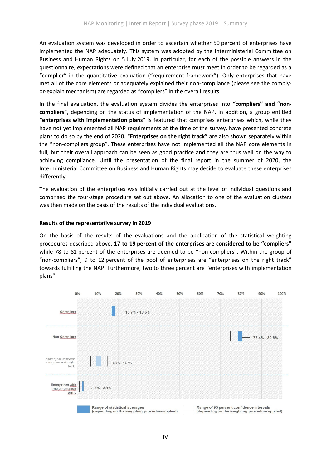An evaluation system was developed in order to ascertain whether 50 percent of enterprises have implemented the NAP adequately. This system was adopted by the Interministerial Committee on Business and Human Rights on 5 July 2019. In particular, for each of the possible answers in the questionnaire, expectations were defined that an enterprise must meet in order to be regarded as a "complier" in the quantitative evaluation ("requirement framework"). Only enterprises that have met all of the core elements or adequately explained their non-compliance (please see the complyor-explain mechanism) are regarded as "compliers" in the overall results.

In the final evaluation, the evaluation system divides the enterprises into **"compliers" and "noncompliers"**, depending on the status of implementation of the NAP. In addition, a group entitled **"enterprises with implementation plans"** is featured that comprises enterprises which, while they have not yet implemented all NAP requirements at the time of the survey, have presented concrete plans to do so by the end of 2020. **"Enterprises on the right track"** are also shown separately within the "non-compliers group". These enterprises have not implemented all the NAP core elements in full, but their overall approach can be seen as good practice and they are thus well on the way to achieving compliance. Until the presentation of the final report in the summer of 2020, the Interministerial Committee on Business and Human Rights may decide to evaluate these enterprises differently.

The evaluation of the enterprises was initially carried out at the level of individual questions and comprised the four-stage procedure set out above. An allocation to one of the evaluation clusters was then made on the basis of the results of the individual evaluations.

## **Results of the representative survey in 2019**

On the basis of the results of the evaluations and the application of the statistical weighting procedures described above, **17 to 19 percent of the enterprises are considered to be "compliers"** while 78 to 81 percent of the enterprises are deemed to be "non-compliers". Within the group of "non-compliers", 9 to 12 percent of the pool of enterprises are "enterprises on the right track" towards fulfilling the NAP. Furthermore, two to three percent are "enterprises with implementation plans".

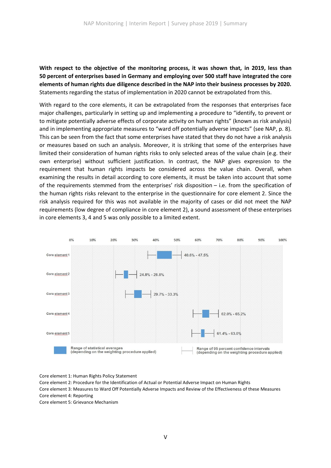**With respect to the objective of the monitoring process, it was shown that, in 2019, less than 50 percent of enterprises based in Germany and employing over 500 staff have integrated the core elements of human rights due diligence described in the NAP into their business processes by 2020.** Statements regarding the status of implementation in 2020 cannot be extrapolated from this.

With regard to the core elements, it can be extrapolated from the responses that enterprises face major challenges, particularly in setting up and implementing a procedure to "identify, to prevent or to mitigate potentially adverse effects of corporate activity on human rights" (known as risk analysis) and in implementing appropriate measures to "ward off potentially adverse impacts" (see NAP, p. 8). This can be seen from the fact that some enterprises have stated that they do not have a risk analysis or measures based on such an analysis. Moreover, it is striking that some of the enterprises have limited their consideration of human rights risks to only selected areas of the value chain (e.g. their own enterprise) without sufficient justification. In contrast, the NAP gives expression to the requirement that human rights impacts be considered across the value chain. Overall, when examining the results in detail according to core elements, it must be taken into account that some of the requirements stemmed from the enterprises' risk disposition – i.e. from the specification of the human rights risks relevant to the enterprise in the questionnaire for core element 2. Since the risk analysis required for this was not available in the majority of cases or did not meet the NAP requirements (low degree of compliance in core element 2), a sound assessment of these enterprises in core elements 3, 4 and 5 was only possible to a limited extent.



Core element 1: Human Rights Policy Statement

Core element 2: Procedure for the Identification of Actual or Potential Adverse Impact on Human Rights Core element 3: Measures to Ward Off Potentially Adverse Impacts and Review of the Effectiveness of these Measures Core element 4: Reporting

Core element 5: Grievance Mechanism